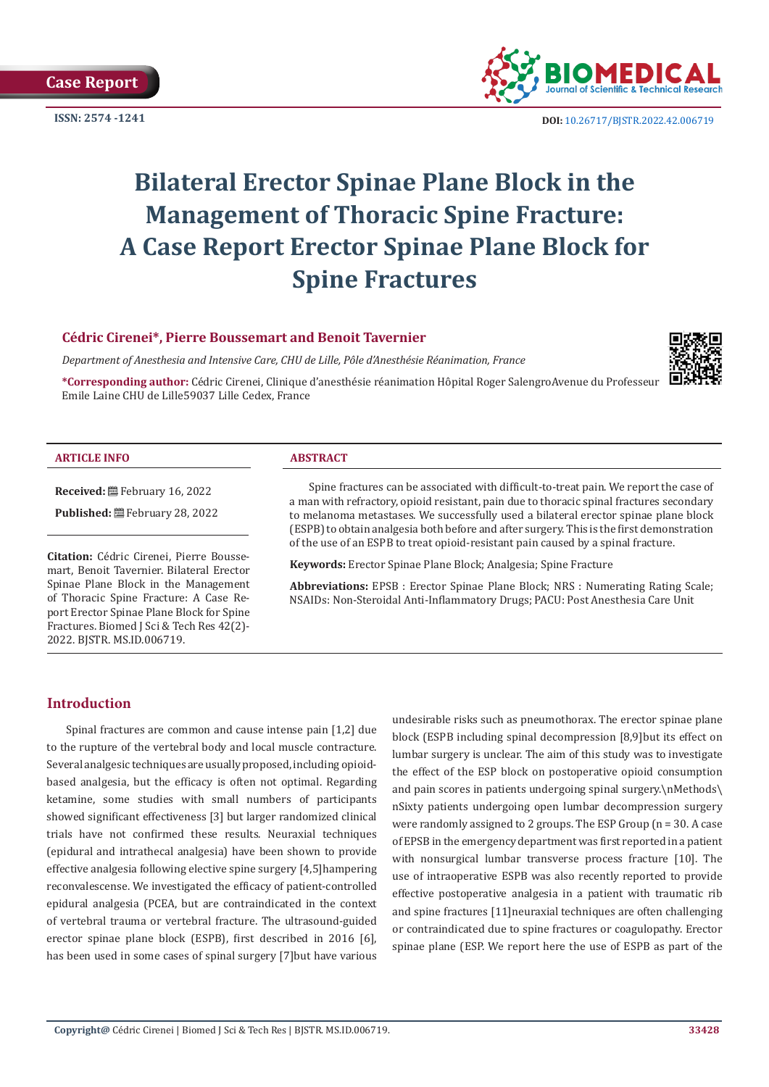



**ISSN:** 2574 -1241 **DOI:** [10.26717/BJSTR.2022.42.006719](https://dx.doi.org/10.26717/BJSTR.2022.42.006719)

# **Bilateral Erector Spinae Plane Block in the Management of Thoracic Spine Fracture: A Case Report Erector Spinae Plane Block for Spine Fractures**

#### **Cédric Cirenei\*, Pierre Boussemart and Benoit Tavernier**

*Department of Anesthesia and Intensive Care, CHU de Lille, Pôle d'Anesthésie Réanimation, France*

**\*Corresponding author:** Cédric Cirenei, Clinique d'anesthésie réanimation Hôpital Roger SalengroAvenue du Professeur Emile Laine CHU de Lille59037 Lille Cedex, France



#### **ARTICLE INFO ABSTRACT**

**Received:** February 16, 2022

Published: **■**February 28, 2022

**Citation:** Cédric Cirenei, Pierre Boussemart, Benoit Tavernier. Bilateral Erector Spinae Plane Block in the Management of Thoracic Spine Fracture: A Case Report Erector Spinae Plane Block for Spine Fractures. Biomed J Sci & Tech Res 42(2)- 2022. BJSTR. MS.ID.006719.

Spine fractures can be associated with difficult-to-treat pain. We report the case of a man with refractory, opioid resistant, pain due to thoracic spinal fractures secondary to melanoma metastases. We successfully used a bilateral erector spinae plane block (ESPB) to obtain analgesia both before and after surgery. This is the first demonstration of the use of an ESPB to treat opioid-resistant pain caused by a spinal fracture.

**Keywords:** Erector Spinae Plane Block; Analgesia; Spine Fracture

**Abbreviations:** EPSB : Erector Spinae Plane Block; NRS : Numerating Rating Scale; NSAIDs: Non-Steroidal Anti-Inflammatory Drugs; PACU: Post Anesthesia Care Unit

### **Introduction**

Spinal fractures are common and cause intense pain [1,2] due to the rupture of the vertebral body and local muscle contracture. Several analgesic techniques are usually proposed, including opioidbased analgesia, but the efficacy is often not optimal. Regarding ketamine, some studies with small numbers of participants showed significant effectiveness [3] but larger randomized clinical trials have not confirmed these results. Neuraxial techniques (epidural and intrathecal analgesia) have been shown to provide effective analgesia following elective spine surgery [4,5]hampering reconvalescense. We investigated the efficacy of patient-controlled epidural analgesia (PCEA, but are contraindicated in the context of vertebral trauma or vertebral fracture. The ultrasound-guided erector spinae plane block (ESPB), first described in 2016 [6], has been used in some cases of spinal surgery [7]but have various

undesirable risks such as pneumothorax. The erector spinae plane block (ESPB including spinal decompression [8,9]but its effect on lumbar surgery is unclear. The aim of this study was to investigate the effect of the ESP block on postoperative opioid consumption and pain scores in patients undergoing spinal surgery.\nMethods\ nSixty patients undergoing open lumbar decompression surgery were randomly assigned to 2 groups. The ESP Group (n = 30. A case of EPSB in the emergency department was first reported in a patient with nonsurgical lumbar transverse process fracture [10]. The use of intraoperative ESPB was also recently reported to provide effective postoperative analgesia in a patient with traumatic rib and spine fractures [11]neuraxial techniques are often challenging or contraindicated due to spine fractures or coagulopathy. Erector spinae plane (ESP. We report here the use of ESPB as part of the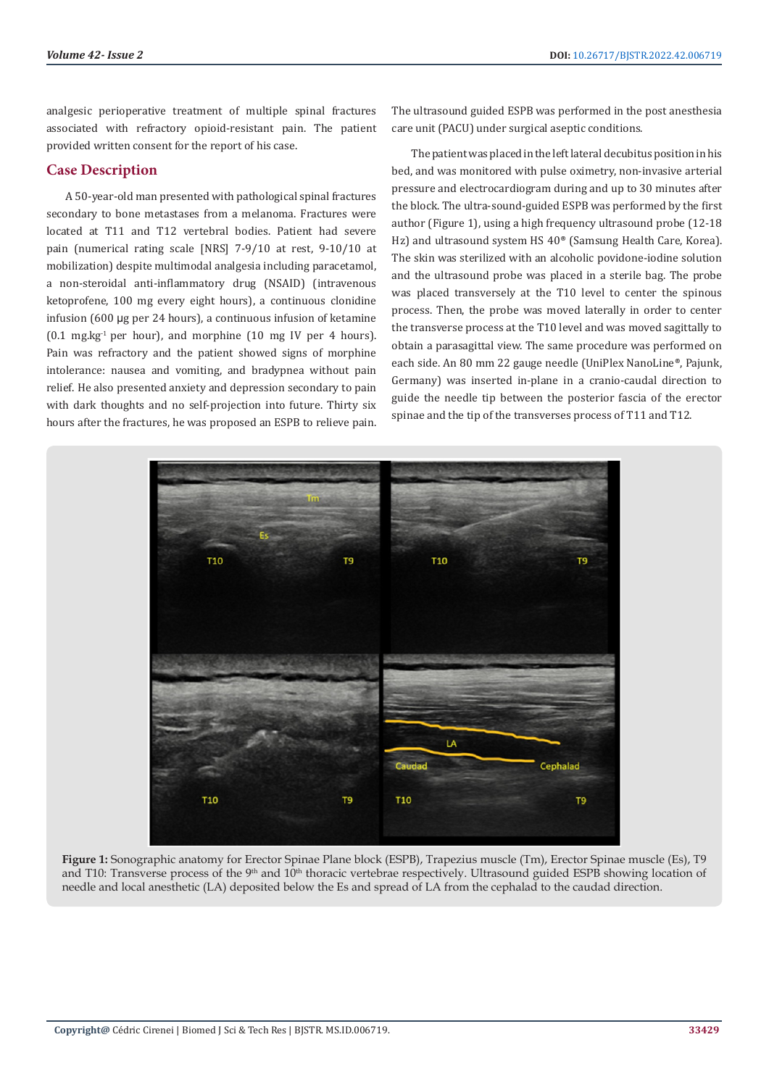analgesic perioperative treatment of multiple spinal fractures associated with refractory opioid-resistant pain. The patient provided written consent for the report of his case.

### **Case Description**

A 50-year-old man presented with pathological spinal fractures secondary to bone metastases from a melanoma. Fractures were located at T11 and T12 vertebral bodies. Patient had severe pain (numerical rating scale [NRS] 7-9/10 at rest, 9-10/10 at mobilization) despite multimodal analgesia including paracetamol, a non-steroidal anti-inflammatory drug (NSAID) (intravenous ketoprofene, 100 mg every eight hours), a continuous clonidine infusion (600 µg per 24 hours), a continuous infusion of ketamine  $(0.1 \text{ mg} \cdot \text{kg}^{-1})$  per hour), and morphine  $(10 \text{ mg} \text{ IV})$  per 4 hours). Pain was refractory and the patient showed signs of morphine intolerance: nausea and vomiting, and bradypnea without pain relief. He also presented anxiety and depression secondary to pain with dark thoughts and no self-projection into future. Thirty six hours after the fractures, he was proposed an ESPB to relieve pain.

The ultrasound guided ESPB was performed in the post anesthesia care unit (PACU) under surgical aseptic conditions.

The patient was placed in the left lateral decubitus position in his bed, and was monitored with pulse oximetry, non-invasive arterial pressure and electrocardiogram during and up to 30 minutes after the block. The ultra-sound-guided ESPB was performed by the first author (Figure 1), using a high frequency ultrasound probe (12-18 Hz) and ultrasound system HS 40® (Samsung Health Care, Korea). The skin was sterilized with an alcoholic povidone-iodine solution and the ultrasound probe was placed in a sterile bag. The probe was placed transversely at the T10 level to center the spinous process. Then, the probe was moved laterally in order to center the transverse process at the T10 level and was moved sagittally to obtain a parasagittal view. The same procedure was performed on each side. An 80 mm 22 gauge needle (UniPlex NanoLine®, Pajunk, Germany) was inserted in-plane in a cranio-caudal direction to guide the needle tip between the posterior fascia of the erector spinae and the tip of the transverses process of T11 and T12.



**Figure 1:** Sonographic anatomy for Erector Spinae Plane block (ESPB), Trapezius muscle (Tm), Erector Spinae muscle (Es), T9 and T10: Transverse process of the 9<sup>th</sup> and 10<sup>th</sup> thoracic vertebrae respectively. Ultrasound guided ESPB showing location of needle and local anesthetic (LA) deposited below the Es and spread of LA from the cephalad to the caudad direction.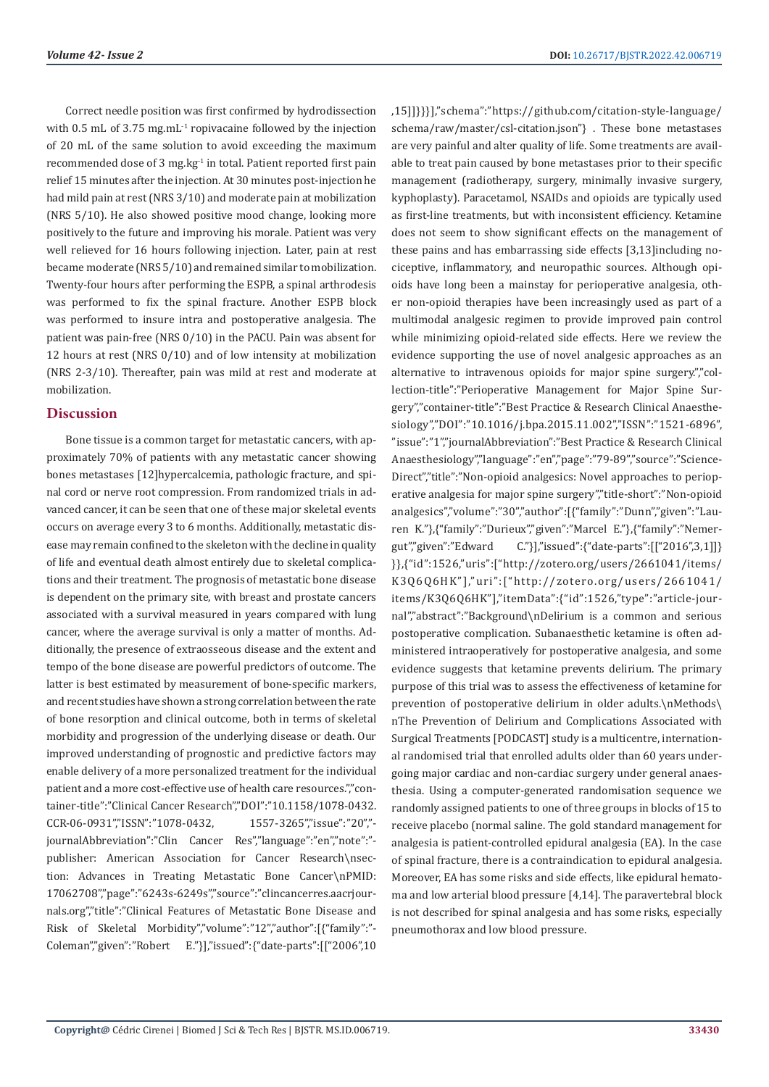Correct needle position was first confirmed by hydrodissection with 0.5 mL of 3.75 mg.mL<sup>-1</sup> ropivacaine followed by the injection of 20 mL of the same solution to avoid exceeding the maximum recommended dose of 3 mg.kg<sup>-1</sup> in total. Patient reported first pain relief 15 minutes after the injection. At 30 minutes post-injection he had mild pain at rest (NRS 3/10) and moderate pain at mobilization (NRS 5/10). He also showed positive mood change, looking more positively to the future and improving his morale. Patient was very well relieved for 16 hours following injection. Later, pain at rest became moderate (NRS 5/10) and remained similar to mobilization. Twenty-four hours after performing the ESPB, a spinal arthrodesis was performed to fix the spinal fracture. Another ESPB block was performed to insure intra and postoperative analgesia. The patient was pain-free (NRS 0/10) in the PACU. Pain was absent for 12 hours at rest (NRS 0/10) and of low intensity at mobilization (NRS 2-3/10). Thereafter, pain was mild at rest and moderate at mobilization.

#### **Discussion**

Bone tissue is a common target for metastatic cancers, with approximately 70% of patients with any metastatic cancer showing bones metastases [12]hypercalcemia, pathologic fracture, and spinal cord or nerve root compression. From randomized trials in advanced cancer, it can be seen that one of these major skeletal events occurs on average every 3 to 6 months. Additionally, metastatic disease may remain confined to the skeleton with the decline in quality of life and eventual death almost entirely due to skeletal complications and their treatment. The prognosis of metastatic bone disease is dependent on the primary site, with breast and prostate cancers associated with a survival measured in years compared with lung cancer, where the average survival is only a matter of months. Additionally, the presence of extraosseous disease and the extent and tempo of the bone disease are powerful predictors of outcome. The latter is best estimated by measurement of bone-specific markers, and recent studies have shown a strong correlation between the rate of bone resorption and clinical outcome, both in terms of skeletal morbidity and progression of the underlying disease or death. Our improved understanding of prognostic and predictive factors may enable delivery of a more personalized treatment for the individual patient and a more cost-effective use of health care resources.","container-title":"Clinical Cancer Research","DOI":"10.1158/1078-0432. CCR-06-0931","ISSN":"1078-0432, 1557-3265","issue":"20"," journalAbbreviation":"Clin Cancer Res","language":"en","note":" publisher: American Association for Cancer Research\nsection: Advances in Treating Metastatic Bone Cancer\nPMID: 17062708","page":"6243s-6249s","source":"clincancerres.aacrjournals.org","title":"Clinical Features of Metastatic Bone Disease and Risk of Skeletal Morbidity","volume":"12","author":[{"family":"- Coleman","given":"Robert E."}],"issued":{"date-parts":[["2006",10

,15]]}}}],"schema":"https://github.com/citation-style-language/ schema/raw/master/csl-citation.json"} . These bone metastases are very painful and alter quality of life. Some treatments are available to treat pain caused by bone metastases prior to their specific management (radiotherapy, surgery, minimally invasive surgery, kyphoplasty). Paracetamol, NSAIDs and opioids are typically used as first-line treatments, but with inconsistent efficiency. Ketamine does not seem to show significant effects on the management of these pains and has embarrassing side effects [3,13]including nociceptive, inflammatory, and neuropathic sources. Although opioids have long been a mainstay for perioperative analgesia, other non-opioid therapies have been increasingly used as part of a multimodal analgesic regimen to provide improved pain control while minimizing opioid-related side effects. Here we review the evidence supporting the use of novel analgesic approaches as an alternative to intravenous opioids for major spine surgery.","collection-title":"Perioperative Management for Major Spine Surgery","container-title":"Best Practice & Research Clinical Anaesthesiology","DOI":"10.1016/j.bpa.2015.11.002","ISSN":"1521-6896", "issue":"1","journalAbbreviation":"Best Practice & Research Clinical Anaesthesiology","language":"en","page":"79-89","source":"Science-Direct","title":"Non-opioid analgesics: Novel approaches to perioperative analgesia for major spine surgery","title-short":"Non-opioid analgesics","volume":"30","author":[{"family":"Dunn","given":"Lauren K."},{"family":"Durieux","given":"Marcel E."},{"family":"Nemergut","given":"Edward C."}],"issued":{"date-parts":[["2016",3,1]]} }},{"id":1526,"uris":["http://zotero.org/users/2661041/items/ K3Q6Q6HK"],"uri":["http://zotero.org/users/2661041/ items/K3Q6Q6HK"],"itemData":{"id":1526,"type":"article-journal","abstract":"Background\nDelirium is a common and serious postoperative complication. Subanaesthetic ketamine is often administered intraoperatively for postoperative analgesia, and some evidence suggests that ketamine prevents delirium. The primary purpose of this trial was to assess the effectiveness of ketamine for prevention of postoperative delirium in older adults.\nMethods\ nThe Prevention of Delirium and Complications Associated with Surgical Treatments [PODCAST] study is a multicentre, international randomised trial that enrolled adults older than 60 years undergoing major cardiac and non-cardiac surgery under general anaesthesia. Using a computer-generated randomisation sequence we randomly assigned patients to one of three groups in blocks of 15 to receive placebo (normal saline. The gold standard management for analgesia is patient-controlled epidural analgesia (EA). In the case of spinal fracture, there is a contraindication to epidural analgesia. Moreover, EA has some risks and side effects, like epidural hematoma and low arterial blood pressure [4,14]. The paravertebral block is not described for spinal analgesia and has some risks, especially pneumothorax and low blood pressure.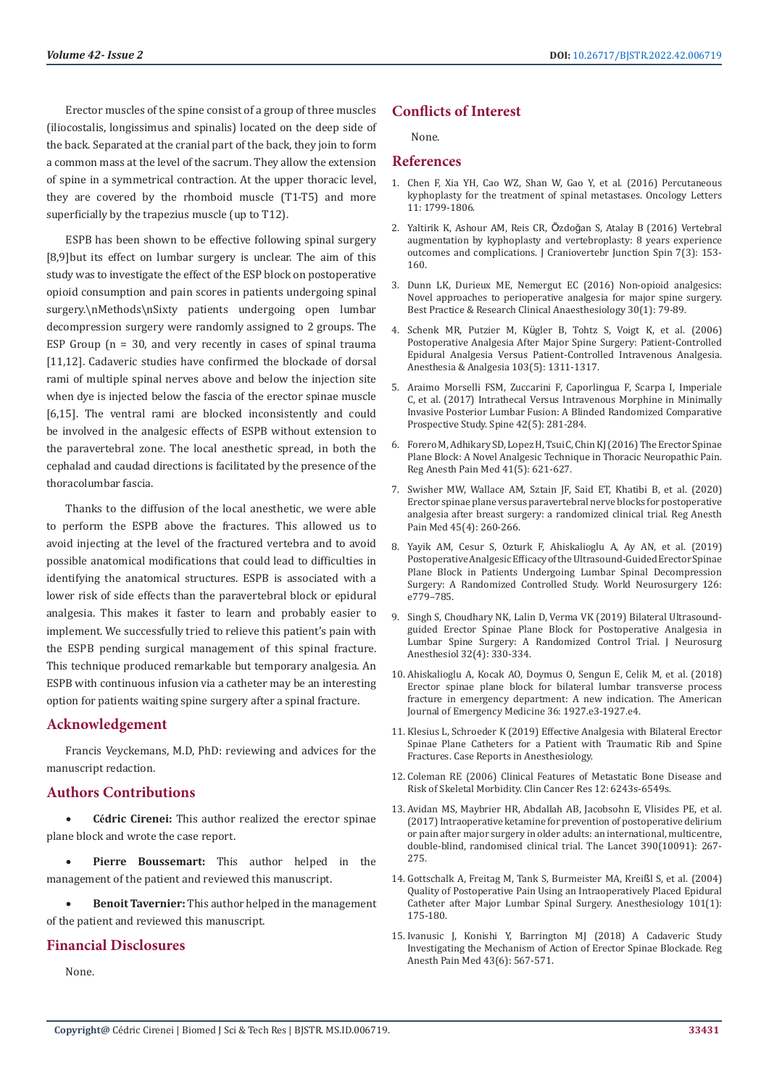Erector muscles of the spine consist of a group of three muscles (iliocostalis, longissimus and spinalis) located on the deep side of the back. Separated at the cranial part of the back, they join to form a common mass at the level of the sacrum. They allow the extension of spine in a symmetrical contraction. At the upper thoracic level, they are covered by the rhomboid muscle (T1-T5) and more superficially by the trapezius muscle (up to T12).

ESPB has been shown to be effective following spinal surgery [8,9]but its effect on lumbar surgery is unclear. The aim of this study was to investigate the effect of the ESP block on postoperative opioid consumption and pain scores in patients undergoing spinal surgery.\nMethods\nSixty patients undergoing open lumbar decompression surgery were randomly assigned to 2 groups. The ESP Group ( $n = 30$ , and very recently in cases of spinal trauma [11,12]. Cadaveric studies have confirmed the blockade of dorsal rami of multiple spinal nerves above and below the injection site when dye is injected below the fascia of the erector spinae muscle [6,15]. The ventral rami are blocked inconsistently and could be involved in the analgesic effects of ESPB without extension to the paravertebral zone. The local anesthetic spread, in both the cephalad and caudad directions is facilitated by the presence of the thoracolumbar fascia.

Thanks to the diffusion of the local anesthetic, we were able to perform the ESPB above the fractures. This allowed us to avoid injecting at the level of the fractured vertebra and to avoid possible anatomical modifications that could lead to difficulties in identifying the anatomical structures. ESPB is associated with a lower risk of side effects than the paravertebral block or epidural analgesia. This makes it faster to learn and probably easier to implement. We successfully tried to relieve this patient's pain with the ESPB pending surgical management of this spinal fracture. This technique produced remarkable but temporary analgesia. An ESPB with continuous infusion via a catheter may be an interesting option for patients waiting spine surgery after a spinal fracture.

#### **Acknowledgement**

Francis Veyckemans, M.D, PhD: reviewing and advices for the manuscript redaction.

#### **Authors Contributions**

**Cédric Cirenei:** This author realized the erector spinae plane block and wrote the case report.

**Pierre Boussemart:** This author helped in the management of the patient and reviewed this manuscript.

**Benoit Tavernier:** This author helped in the management of the patient and reviewed this manuscript.

#### **Financial Disclosures**

None.

#### **Conflicts of Interest**

None.

## **References**

- 1. [Chen F, Xia YH, Cao WZ, Shan W, Gao Y, et al. \(2016\) Percutaneous](https://www.spandidos-publications.com/10.3892/ol.2016.4121) [kyphoplasty for the treatment of spinal metastases. Oncology Letters](https://www.spandidos-publications.com/10.3892/ol.2016.4121) [11: 1799-1806.](https://www.spandidos-publications.com/10.3892/ol.2016.4121)
- 2. [Yaltirik K, Ashour AM, Reis CR,](https://pubmed.ncbi.nlm.nih.gov/27630477/) Özdoğan S, Atalay B (2016) Vertebral [augmentation by kyphoplasty and vertebroplasty: 8 years experience](https://pubmed.ncbi.nlm.nih.gov/27630477/) [outcomes and complications. J Craniovertebr Junction Spin 7\(3\): 153-](https://pubmed.ncbi.nlm.nih.gov/27630477/) [160.](https://pubmed.ncbi.nlm.nih.gov/27630477/)
- 3. [Dunn LK, Durieux ME, Nemergut EC \(2016\) Non-opioid analgesics:](https://pubmed.ncbi.nlm.nih.gov/27036605/) [Novel approaches to perioperative analgesia for major spine surgery.](https://pubmed.ncbi.nlm.nih.gov/27036605/) [Best Practice & Research Clinical Anaesthesiology 30\(1\): 79-89.](https://pubmed.ncbi.nlm.nih.gov/27036605/)
- 4. Schenk MR, Putzier M, Kü[gler B, Tohtz S, Voigt K, et al. \(2006\)](https://pubmed.ncbi.nlm.nih.gov/17056975/) [Postoperative Analgesia After Major Spine Surgery: Patient-Controlled](https://pubmed.ncbi.nlm.nih.gov/17056975/) [Epidural Analgesia Versus Patient-Controlled Intravenous Analgesia.](https://pubmed.ncbi.nlm.nih.gov/17056975/) [Anesthesia & Analgesia 103\(5\): 1311-1317.](https://pubmed.ncbi.nlm.nih.gov/17056975/)
- 5. [Araimo Morselli FSM, Zuccarini F, Caporlingua F, Scarpa I, Imperiale](https://pubmed.ncbi.nlm.nih.gov/27306255/) [C, et al. \(2017\) Intrathecal Versus Intravenous Morphine in Minimally](https://pubmed.ncbi.nlm.nih.gov/27306255/) [Invasive Posterior Lumbar Fusion: A Blinded Randomized Comparative](https://pubmed.ncbi.nlm.nih.gov/27306255/) [Prospective Study. Spine 42\(5\): 281-284.](https://pubmed.ncbi.nlm.nih.gov/27306255/)
- 6. [Forero M, Adhikary SD, Lopez H, Tsui C, Chin KJ \(2016\) The Erector Spinae](https://pubmed.ncbi.nlm.nih.gov/27501016/) [Plane Block: A Novel Analgesic Technique in Thoracic Neuropathic Pain.](https://pubmed.ncbi.nlm.nih.gov/27501016/) [Reg Anesth Pain Med 41\(5\): 621-627.](https://pubmed.ncbi.nlm.nih.gov/27501016/)
- 7. [Swisher MW, Wallace AM, Sztain JF, Said ET, Khatibi B, et al. \(2020\)](https://pubmed.ncbi.nlm.nih.gov/31969443/) [Erector spinae plane versus paravertebral nerve blocks for postoperative](https://pubmed.ncbi.nlm.nih.gov/31969443/) [analgesia after breast surgery: a randomized clinical trial. Reg Anesth](https://pubmed.ncbi.nlm.nih.gov/31969443/) [Pain Med 45\(4\): 260-266.](https://pubmed.ncbi.nlm.nih.gov/31969443/)
- 8. [Yayik AM, Cesur S, Ozturk F, Ahiskalioglu A, Ay AN, et al. \(2019\)](https://pubmed.ncbi.nlm.nih.gov/30853517/) [Postoperative Analgesic Efficacy of the Ultrasound-Guided Erector Spinae](https://pubmed.ncbi.nlm.nih.gov/30853517/) [Plane Block in Patients Undergoing Lumbar Spinal Decompression](https://pubmed.ncbi.nlm.nih.gov/30853517/) [Surgery: A Randomized Controlled Study. World Neurosurgery 126:](https://pubmed.ncbi.nlm.nih.gov/30853517/) [e779–785.](https://pubmed.ncbi.nlm.nih.gov/30853517/)
- 9. [Singh S, Choudhary NK, Lalin D, Verma VK \(2019\) Bilateral Ultrasound](https://pubmed.ncbi.nlm.nih.gov/31033625/)[guided Erector Spinae Plane Block for Postoperative Analgesia in](https://pubmed.ncbi.nlm.nih.gov/31033625/) [Lumbar Spine Surgery: A Randomized Control Trial. J Neurosurg](https://pubmed.ncbi.nlm.nih.gov/31033625/) [Anesthesiol 32\(4\): 330-334.](https://pubmed.ncbi.nlm.nih.gov/31033625/)
- 10. [Ahiskalioglu A, Kocak AO, Doymus O, Sengun E, Celik M, et al. \(2018\)](https://pubmed.ncbi.nlm.nih.gov/29980485/) [Erector spinae plane block for bilateral lumbar transverse process](https://pubmed.ncbi.nlm.nih.gov/29980485/) [fracture in emergency department: A new indication. The American](https://pubmed.ncbi.nlm.nih.gov/29980485/) [Journal of Emergency Medicine 36: 1927.e3-1927.e4.](https://pubmed.ncbi.nlm.nih.gov/29980485/)
- 11. [Klesius L, Schroeder K \(2019\) Effective Analgesia with Bilateral Erector](https://www.hindawi.com/journals/cria/2019/9159878/) [Spinae Plane Catheters for a Patient with Traumatic Rib and Spine](https://www.hindawi.com/journals/cria/2019/9159878/) [Fractures. Case Reports in Anesthesiology.](https://www.hindawi.com/journals/cria/2019/9159878/)
- 12. [Coleman RE \(2006\) Clinical Features of Metastatic Bone Disease and](https://pubmed.ncbi.nlm.nih.gov/17062708/) [Risk of Skeletal Morbidity. Clin Cancer Res 12: 6243s-6549s.](https://pubmed.ncbi.nlm.nih.gov/17062708/)
- 13. [Avidan MS, Maybrier HR, Abdallah AB, Jacobsohn E, Vlisides PE, et al.](https://pubmed.ncbi.nlm.nih.gov/28576285/) [\(2017\) Intraoperative ketamine for prevention of postoperative delirium](https://pubmed.ncbi.nlm.nih.gov/28576285/) [or pain after major surgery in older adults: an international, multicentre,](https://pubmed.ncbi.nlm.nih.gov/28576285/) [double-blind, randomised clinical trial. The Lancet 390\(10091\): 267-](https://pubmed.ncbi.nlm.nih.gov/28576285/) [275.](https://pubmed.ncbi.nlm.nih.gov/28576285/)
- 14. [Gottschalk A, Freitag M, Tank S, Burmeister MA, Krei](https://pubmed.ncbi.nlm.nih.gov/15220788/)ßl S, et al. (2004) [Quality of Postoperative Pain Using an Intraoperatively Placed Epidural](https://pubmed.ncbi.nlm.nih.gov/15220788/) [Catheter after Major Lumbar Spinal Surgery. Anesthesiology 101\(1\):](https://pubmed.ncbi.nlm.nih.gov/15220788/) [175-180.](https://pubmed.ncbi.nlm.nih.gov/15220788/)
- 15. [Ivanusic J, Konishi Y, Barrington MJ \(2018\) A Cadaveric Study](https://pubmed.ncbi.nlm.nih.gov/29746445/) [Investigating the Mechanism of Action of Erector Spinae Blockade. Reg](https://pubmed.ncbi.nlm.nih.gov/29746445/) [Anesth Pain Med 43\(6\): 567-571.](https://pubmed.ncbi.nlm.nih.gov/29746445/)